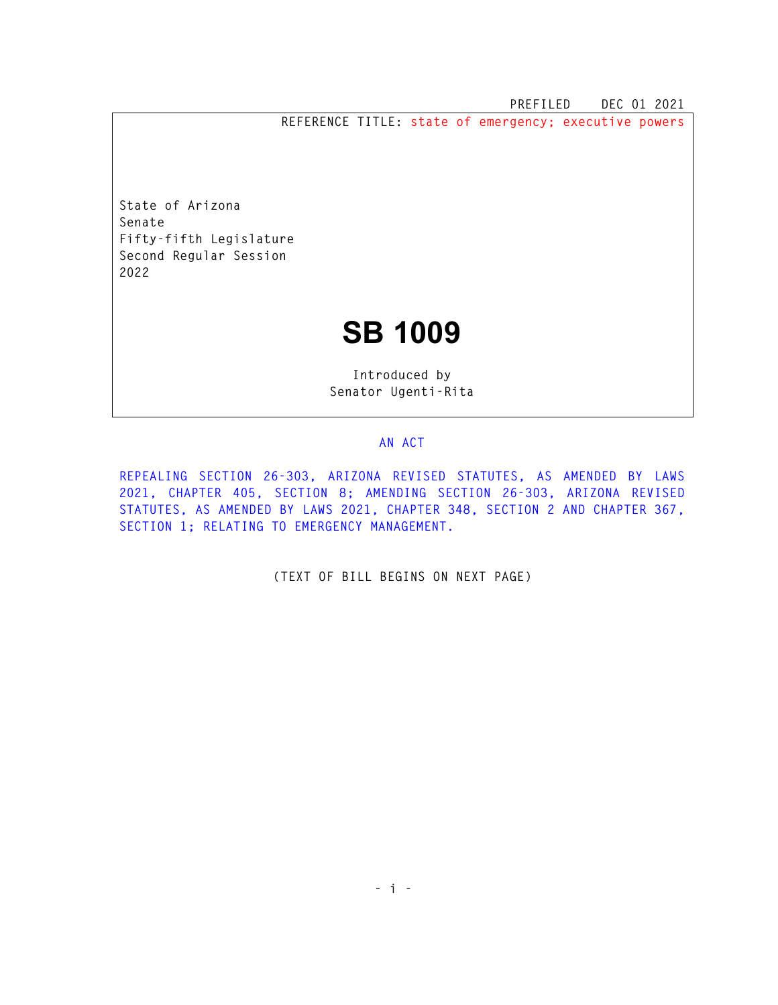**PREFILED DEC 01 2021** 

**REFERENCE TITLE: state of emergency; executive powers** 

**State of Arizona Senate Fifty-fifth Legislature Second Regular Session 2022** 

## **SB 1009**

**Introduced by Senator Ugenti-Rita** 

## **AN ACT**

**REPEALING SECTION 26-303, ARIZONA REVISED STATUTES, AS AMENDED BY LAWS 2021, CHAPTER 405, SECTION 8; AMENDING SECTION 26-303, ARIZONA REVISED STATUTES, AS AMENDED BY LAWS 2021, CHAPTER 348, SECTION 2 AND CHAPTER 367, SECTION 1; RELATING TO EMERGENCY MANAGEMENT.** 

**(TEXT OF BILL BEGINS ON NEXT PAGE)**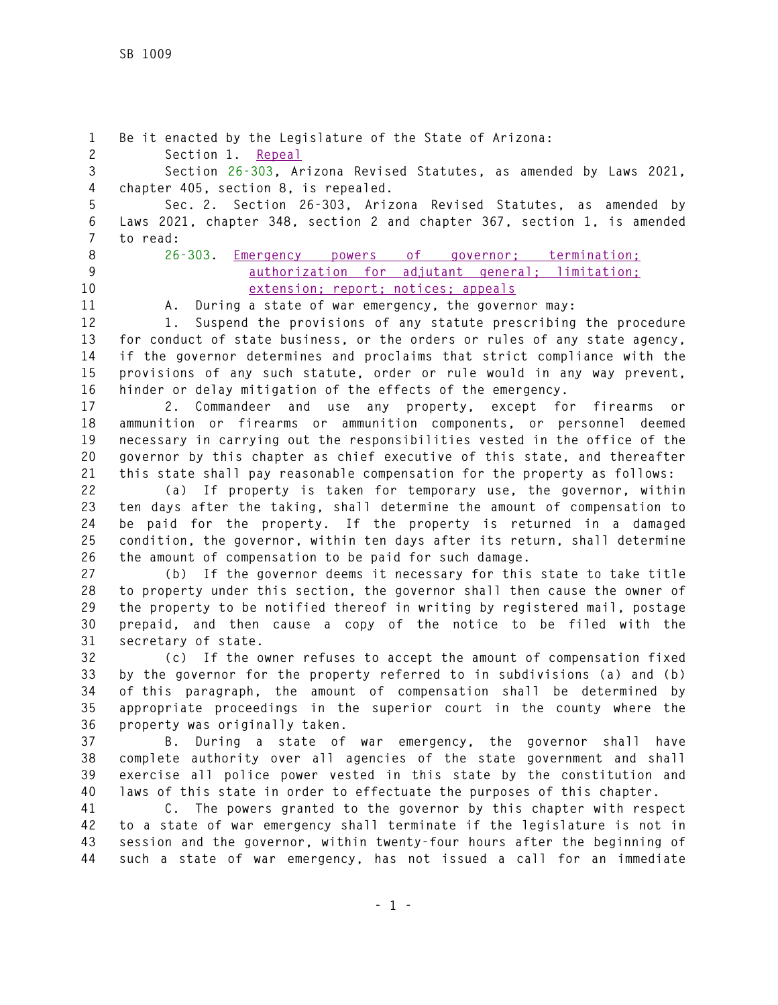**1 Be it enacted by the Legislature of the State of Arizona: 2 Section 1. Repeal 3 Section 26-303, Arizona Revised Statutes, as amended by Laws 2021, 4 chapter 405, section 8, is repealed. 5 Sec. 2. Section 26-303, Arizona Revised Statutes, as amended by 6 Laws 2021, chapter 348, section 2 and chapter 367, section 1, is amended 7 to read: 8 26-303. Emergency powers of governor; termination; 9 authorization for adjutant general; limitation; 10 extension; report; notices; appeals 11 A. During a state of war emergency, the governor may: 12 1. Suspend the provisions of any statute prescribing the procedure 13 for conduct of state business, or the orders or rules of any state agency, 14 if the governor determines and proclaims that strict compliance with the 15 provisions of any such statute, order or rule would in any way prevent, 16 hinder or delay mitigation of the effects of the emergency. 17 2. Commandeer and use any property, except for firearms or 18 ammunition or firearms or ammunition components, or personnel deemed 19 necessary in carrying out the responsibilities vested in the office of the 20 governor by this chapter as chief executive of this state, and thereafter 21 this state shall pay reasonable compensation for the property as follows: 22 (a) If property is taken for temporary use, the governor, within 23 ten days after the taking, shall determine the amount of compensation to 24 be paid for the property. If the property is returned in a damaged 25 condition, the governor, within ten days after its return, shall determine 26 the amount of compensation to be paid for such damage. 27 (b) If the governor deems it necessary for this state to take title 28 to property under this section, the governor shall then cause the owner of 29 the property to be notified thereof in writing by registered mail, postage 30 prepaid, and then cause a copy of the notice to be filed with the 31 secretary of state. 32 (c) If the owner refuses to accept the amount of compensation fixed 33 by the governor for the property referred to in subdivisions (a) and (b) 34 of this paragraph, the amount of compensation shall be determined by 35 appropriate proceedings in the superior court in the county where the 36 property was originally taken. 37 B. During a state of war emergency, the governor shall have 38 complete authority over all agencies of the state government and shall 39 exercise all police power vested in this state by the constitution and 40 laws of this state in order to effectuate the purposes of this chapter. 41 C. The powers granted to the governor by this chapter with respect 42 to a state of war emergency shall terminate if the legislature is not in** 

**43 session and the governor, within twenty-four hours after the beginning of 44 such a state of war emergency, has not issued a call for an immediate**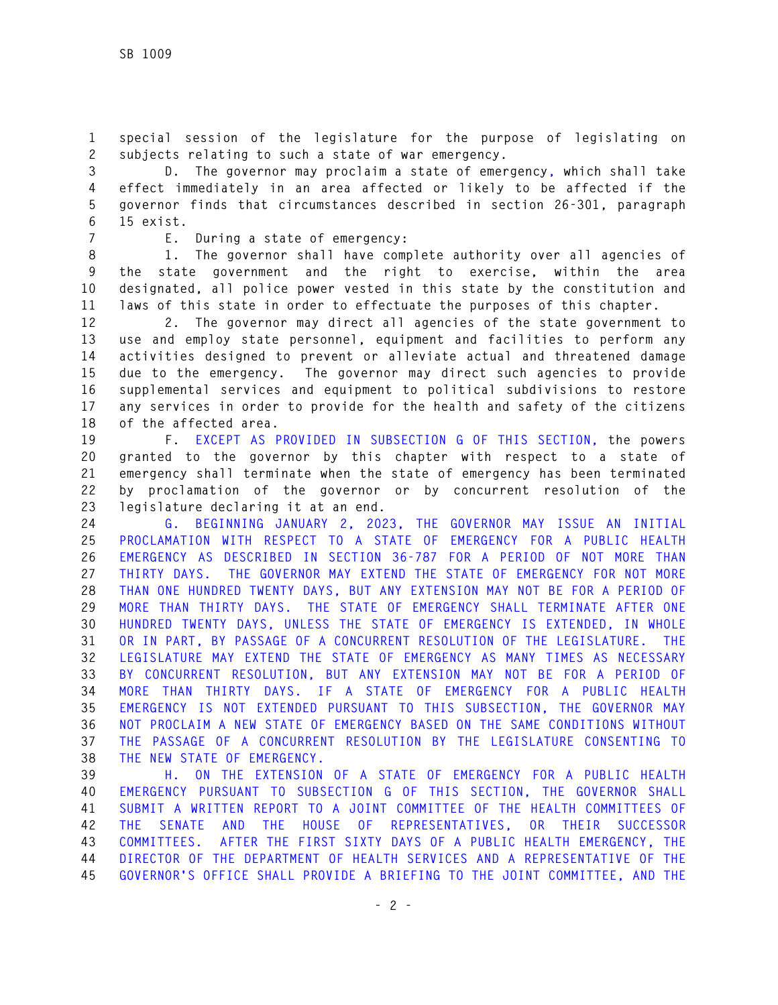**1 special session of the legislature for the purpose of legislating on 2 subjects relating to such a state of war emergency.** 

**3 D. The governor may proclaim a state of emergency, which shall take 4 effect immediately in an area affected or likely to be affected if the 5 governor finds that circumstances described in section 26-301, paragraph 6 15 exist.** 

**7 E. During a state of emergency:** 

**8 1. The governor shall have complete authority over all agencies of 9 the state government and the right to exercise, within the area 10 designated, all police power vested in this state by the constitution and 11 laws of this state in order to effectuate the purposes of this chapter.** 

**12 2. The governor may direct all agencies of the state government to 13 use and employ state personnel, equipment and facilities to perform any 14 activities designed to prevent or alleviate actual and threatened damage 15 due to the emergency. The governor may direct such agencies to provide 16 supplemental services and equipment to political subdivisions to restore 17 any services in order to provide for the health and safety of the citizens 18 of the affected area.** 

**19 F. EXCEPT AS PROVIDED IN SUBSECTION G OF THIS SECTION, the powers 20 granted to the governor by this chapter with respect to a state of 21 emergency shall terminate when the state of emergency has been terminated 22 by proclamation of the governor or by concurrent resolution of the 23 legislature declaring it at an end.** 

**24 G. BEGINNING JANUARY 2, 2023, THE GOVERNOR MAY ISSUE AN INITIAL 25 PROCLAMATION WITH RESPECT TO A STATE OF EMERGENCY FOR A PUBLIC HEALTH 26 EMERGENCY AS DESCRIBED IN SECTION 36-787 FOR A PERIOD OF NOT MORE THAN 27 THIRTY DAYS. THE GOVERNOR MAY EXTEND THE STATE OF EMERGENCY FOR NOT MORE 28 THAN ONE HUNDRED TWENTY DAYS, BUT ANY EXTENSION MAY NOT BE FOR A PERIOD OF 29 MORE THAN THIRTY DAYS. THE STATE OF EMERGENCY SHALL TERMINATE AFTER ONE 30 HUNDRED TWENTY DAYS, UNLESS THE STATE OF EMERGENCY IS EXTENDED, IN WHOLE 31 OR IN PART, BY PASSAGE OF A CONCURRENT RESOLUTION OF THE LEGISLATURE. THE 32 LEGISLATURE MAY EXTEND THE STATE OF EMERGENCY AS MANY TIMES AS NECESSARY 33 BY CONCURRENT RESOLUTION, BUT ANY EXTENSION MAY NOT BE FOR A PERIOD OF 34 MORE THAN THIRTY DAYS. IF A STATE OF EMERGENCY FOR A PUBLIC HEALTH 35 EMERGENCY IS NOT EXTENDED PURSUANT TO THIS SUBSECTION, THE GOVERNOR MAY 36 NOT PROCLAIM A NEW STATE OF EMERGENCY BASED ON THE SAME CONDITIONS WITHOUT 37 THE PASSAGE OF A CONCURRENT RESOLUTION BY THE LEGISLATURE CONSENTING TO 38 THE NEW STATE OF EMERGENCY.** 

**39 H. ON THE EXTENSION OF A STATE OF EMERGENCY FOR A PUBLIC HEALTH 40 EMERGENCY PURSUANT TO SUBSECTION G OF THIS SECTION, THE GOVERNOR SHALL 41 SUBMIT A WRITTEN REPORT TO A JOINT COMMITTEE OF THE HEALTH COMMITTEES OF 42 THE SENATE AND THE HOUSE OF REPRESENTATIVES, OR THEIR SUCCESSOR 43 COMMITTEES. AFTER THE FIRST SIXTY DAYS OF A PUBLIC HEALTH EMERGENCY, THE 44 DIRECTOR OF THE DEPARTMENT OF HEALTH SERVICES AND A REPRESENTATIVE OF THE 45 GOVERNOR'S OFFICE SHALL PROVIDE A BRIEFING TO THE JOINT COMMITTEE, AND THE**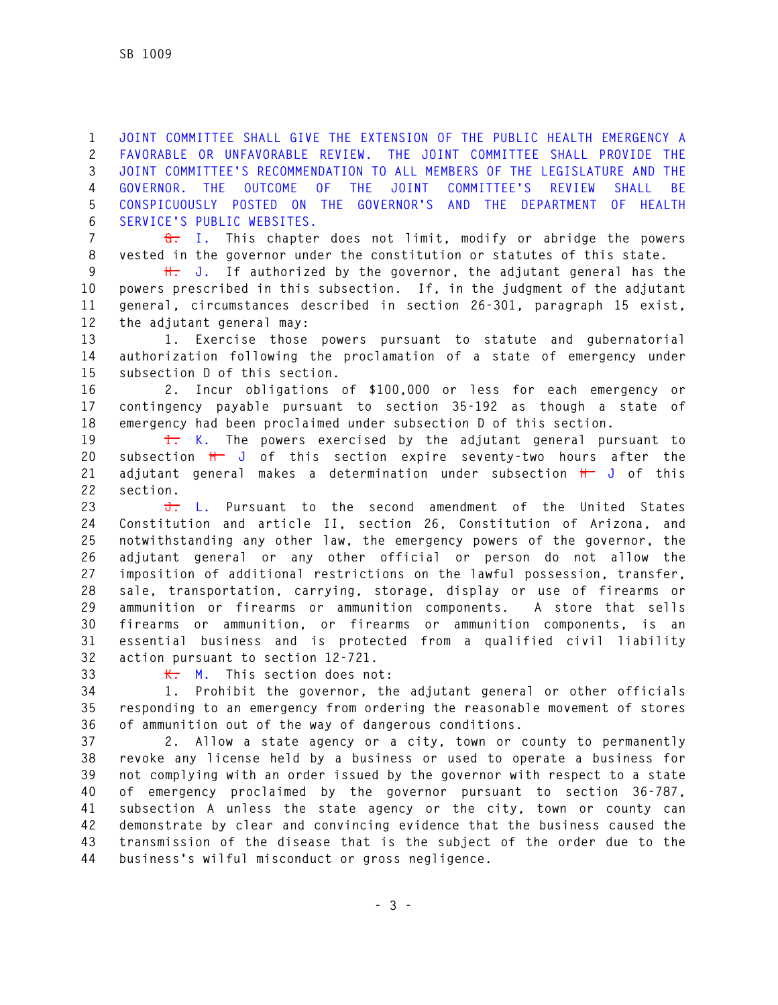**1 JOINT COMMITTEE SHALL GIVE THE EXTENSION OF THE PUBLIC HEALTH EMERGENCY A 2 FAVORABLE OR UNFAVORABLE REVIEW. THE JOINT COMMITTEE SHALL PROVIDE THE 3 JOINT COMMITTEE'S RECOMMENDATION TO ALL MEMBERS OF THE LEGISLATURE AND THE 4 GOVERNOR. THE OUTCOME OF THE JOINT COMMITTEE'S REVIEW SHALL BE 5 CONSPICUOUSLY POSTED ON THE GOVERNOR'S AND THE DEPARTMENT OF HEALTH 6 SERVICE'S PUBLIC WEBSITES.** 

**7 G. I. This chapter does not limit, modify or abridge the powers 8 vested in the governor under the constitution or statutes of this state.** 

**9 H. J. If authorized by the governor, the adjutant general has the 10 powers prescribed in this subsection. If, in the judgment of the adjutant 11 general, circumstances described in section 26-301, paragraph 15 exist, 12 the adjutant general may:** 

**13 1. Exercise those powers pursuant to statute and gubernatorial 14 authorization following the proclamation of a state of emergency under 15 subsection D of this section.** 

**16 2. Incur obligations of \$100,000 or less for each emergency or 17 contingency payable pursuant to section 35-192 as though a state of 18 emergency had been proclaimed under subsection D of this section.** 

**19 I. K. The powers exercised by the adjutant general pursuant to 20 subsection H J of this section expire seventy-two hours after the 21 adjutant general makes a determination under subsection H J of this 22 section.** 

**23 J. L. Pursuant to the second amendment of the United States 24 Constitution and article II, section 26, Constitution of Arizona, and 25 notwithstanding any other law, the emergency powers of the governor, the 26 adjutant general or any other official or person do not allow the 27 imposition of additional restrictions on the lawful possession, transfer, 28 sale, transportation, carrying, storage, display or use of firearms or 29 ammunition or firearms or ammunition components. A store that sells 30 firearms or ammunition, or firearms or ammunition components, is an 31 essential business and is protected from a qualified civil liability 32 action pursuant to section 12-721.** 

**33 K. M. This section does not:** 

**34 1. Prohibit the governor, the adjutant general or other officials 35 responding to an emergency from ordering the reasonable movement of stores 36 of ammunition out of the way of dangerous conditions.** 

**37 2. Allow a state agency or a city, town or county to permanently 38 revoke any license held by a business or used to operate a business for 39 not complying with an order issued by the governor with respect to a state 40 of emergency proclaimed by the governor pursuant to section 36-787, 41 subsection A unless the state agency or the city, town or county can 42 demonstrate by clear and convincing evidence that the business caused the 43 transmission of the disease that is the subject of the order due to the 44 business's wilful misconduct or gross negligence.**